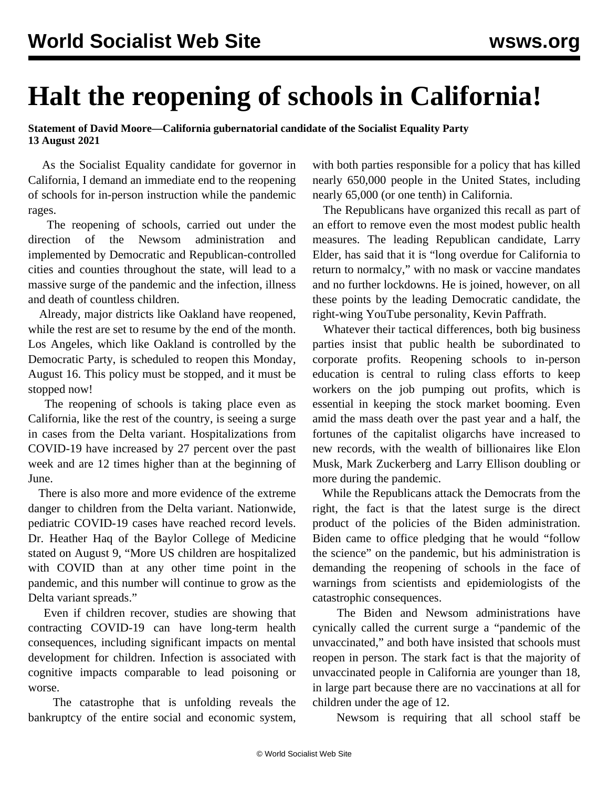## **Halt the reopening of schools in California!**

**Statement of David Moore—California gubernatorial candidate of the Socialist Equality Party 13 August 2021**

 As the Socialist Equality candidate for governor in California, I demand an immediate end to the reopening of schools for in-person instruction while the pandemic rages.

 The reopening of schools, carried out under the direction of the Newsom administration and implemented by Democratic and Republican-controlled cities and counties throughout the state, will lead to a massive surge of the pandemic and the infection, illness and death of countless children.

 Already, major districts like Oakland have reopened, while the rest are set to resume by the end of the month. Los Angeles, which like Oakland is controlled by the Democratic Party, is scheduled to reopen this Monday, August 16. This policy must be stopped, and it must be stopped now!

 The reopening of schools is taking place even as California, like the rest of the country, is seeing a surge in cases from the Delta variant. Hospitalizations from COVID-19 have increased by 27 percent over the past week and are 12 times higher than at the beginning of June.

 There is also more and more evidence of the extreme danger to children from the Delta variant. Nationwide, pediatric COVID-19 cases have reached record levels. Dr. Heather Haq of the Baylor College of Medicine stated on August 9, "More US children are hospitalized with COVID than at any other time point in the pandemic, and this number will continue to grow as the Delta variant spreads."

 Even if children recover, studies are showing that contracting COVID-19 can have long-term health consequences, including significant impacts on mental development for children. Infection is associated with cognitive impacts comparable to lead poisoning or worse.

 The catastrophe that is unfolding reveals the bankruptcy of the entire social and economic system,

with both parties responsible for a policy that has killed nearly 650,000 people in the United States, including nearly 65,000 (or one tenth) in California.

 The Republicans have organized this recall as part of an effort to remove even the most modest public health measures. The leading Republican candidate, Larry Elder, has said that it is "long overdue for California to return to normalcy," with no mask or vaccine mandates and no further lockdowns. He is joined, however, on all these points by the leading Democratic candidate, the right-wing YouTube personality, Kevin Paffrath.

 Whatever their tactical differences, both big business parties insist that public health be subordinated to corporate profits. Reopening schools to in-person education is central to ruling class efforts to keep workers on the job pumping out profits, which is essential in keeping the stock market booming. Even amid the mass death over the past year and a half, the fortunes of the capitalist oligarchs have increased to new records, with the wealth of billionaires like Elon Musk, Mark Zuckerberg and Larry Ellison doubling or more during the pandemic.

 While the Republicans attack the Democrats from the right, the fact is that the latest surge is the direct product of the policies of the Biden administration. Biden came to office pledging that he would "follow the science" on the pandemic, but his administration is demanding the reopening of schools in the face of warnings from scientists and epidemiologists of the catastrophic consequences.

 The Biden and Newsom administrations have cynically called the current surge a "pandemic of the unvaccinated," and both have insisted that schools must reopen in person. The stark fact is that the majority of unvaccinated people in California are younger than 18, in large part because there are no vaccinations at all for children under the age of 12.

Newsom is requiring that all school staff be